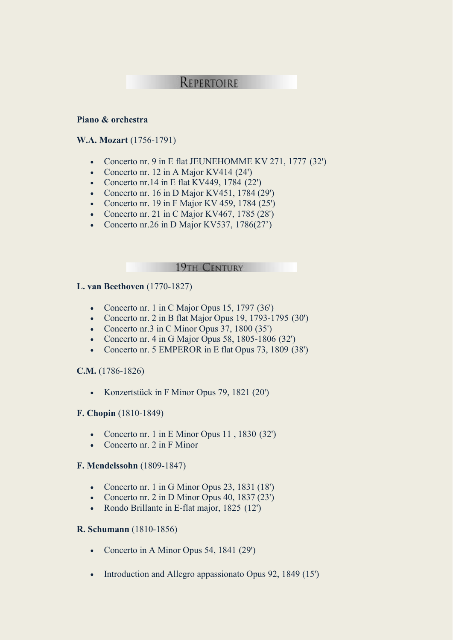# REPERTOIRE

#### **Piano & orchestra**

#### **W.A. Mozart** (1756-1791)

- Concerto nr. 9 in E flat JEUNEHOMME KV 271, 1777 (32')
- Concerto nr. 12 in A Major KV414 (24')
- Concerto nr. 14 in E flat KV449, 1784  $(22')$
- Concerto nr. 16 in D Major KV451, 1784 (29')
- Concerto nr. 19 in F Major KV 459, 1784 (25')
- Concerto nr. 21 in C Major KV467, 1785 (28')
- Concerto nr.26 in D Major KV537,  $1786(27')$

19TH CENTURY

## **L. van Beethoven** (1770-1827)

- Concerto nr. 1 in C Major Opus 15, 1797 (36')
- Concerto nr. 2 in B flat Major Opus 19, 1793-1795 (30')
- Concerto nr.3 in C Minor Opus 37, 1800 (35')
- Concerto nr.  $4 \text{ in } G$  Major Opus 58, 1805-1806 (32')
- Concerto nr. 5 EMPEROR in E flat Opus 73, 1809 (38')

#### **C.M.** (1786-1826)

• Konzertstück in F Minor Opus 79, 1821 (20')

#### **F. Chopin** (1810-1849)

- Concerto nr. 1 in E Minor Opus 11, 1830 (32')
- Concerto nr. 2 in F Minor

#### **F. Mendelssohn** (1809-1847)

- Concerto nr. 1 in G Minor Opus 23, 1831 (18')
- Concerto nr. 2 in D Minor Opus 40, 1837 (23')
- Rondo Brillante in E-flat major, 1825 (12')

#### **R. Schumann** (1810-1856)

- Concerto in A Minor Opus 54, 1841 (29')
- Introduction and Allegro appassionato Opus 92, 1849 (15')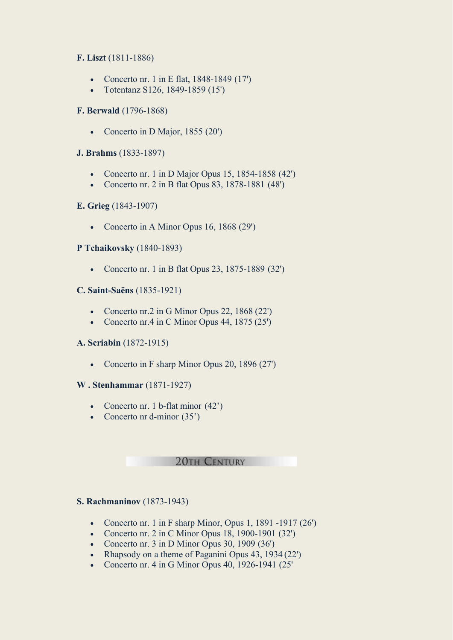## **F. Liszt** (1811-1886)

- Concerto nr. 1 in E flat, 1848-1849 (17')
- Totentanz S126, 1849-1859 (15')

## **F. Berwald** (1796-1868)

• Concerto in D Major, 1855 (20')

## **J. Brahms** (1833-1897)

- Concerto nr. 1 in D Major Opus 15, 1854-1858 (42')
- Concerto nr. 2 in B flat Opus 83, 1878-1881 (48')

## **E. Grieg** (1843-1907)

• Concerto in A Minor Opus 16, 1868 (29')

## **P Tchaikovsky** (1840-1893)

• Concerto nr. 1 in B flat Opus 23, 1875-1889 (32')

## **C. Saint-Saëns** (1835-1921)

- Concerto nr.2 in G Minor Opus 22, 1868 (22')
- Concerto nr.4 in C Minor Opus 44, 1875 (25')

## **A. Scriabin** (1872-1915)

• Concerto in F sharp Minor Opus 20, 1896 (27')

## **W . Stenhammar** (1871-1927)

- Concerto nr. 1 b-flat minor  $(42)$
- Concerto nr d-minor (35')

#### **20TH CENTURY**

## **S. Rachmaninov** (1873-1943)

- Concerto nr. 1 in F sharp Minor, Opus 1, 1891 -1917  $(26')$
- Concerto nr.  $2$  in C Minor Opus 18, 1900-1901 (32')
- Concerto nr. 3 in D Minor Opus 30, 1909 (36')
- Rhapsody on a theme of Paganini Opus 43, 1934 (22')
- Concerto nr. 4 in G Minor Opus 40, 1926-1941 (25'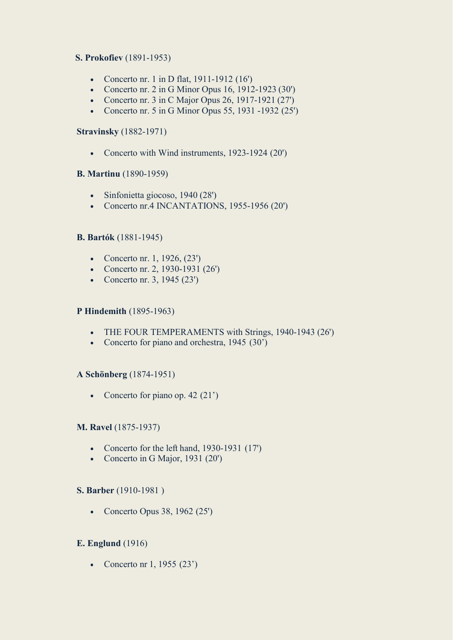## **S. Prokofiev** (1891-1953)

- Concerto nr. 1 in D flat, 1911-1912 (16')
- Concerto nr. 2 in G Minor Opus 16, 1912-1923 (30')
- Concerto nr. 3 in C Major Opus 26, 1917-1921 (27')
- Concerto nr. 5 in G Minor Opus 55, 1931 -1932 (25')

#### **Stravinsky** (1882-1971)

• Concerto with Wind instruments, 1923-1924 (20')

## **B. Martinu** (1890-1959)

- Sinfonietta giocoso, 1940 (28')
- Concerto nr.4 INCANTATIONS, 1955-1956 (20')

## **B. Bartók** (1881-1945)

- Concerto nr. 1, 1926, (23')
- Concerto nr. 2, 1930-1931 (26')
- Concerto nr. 3, 1945 (23')

## **P Hindemith** (1895-1963)

- THE FOUR TEMPERAMENTS with Strings, 1940-1943 (26')
- Concerto for piano and orchestra, 1945 (30')

#### **A Schönberg** (1874-1951)

• Concerto for piano op. 42 (21')

#### **M. Ravel** (1875-1937)

- Concerto for the left hand, 1930-1931 (17')
- Concerto in G Major, 1931 (20')

#### **S. Barber** (1910-1981 )

• Concerto Opus 38, 1962 (25')

## **E. Englund** (1916)

• Concerto nr 1, 1955 (23')